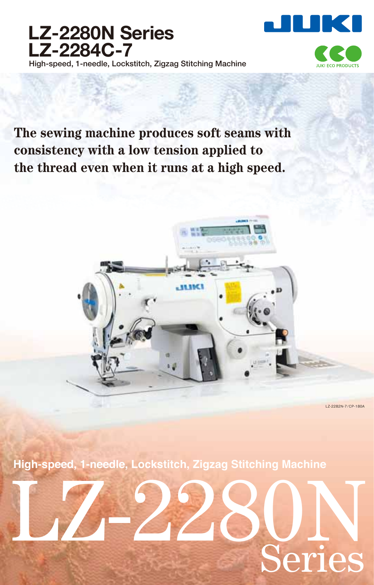



**UKLECO PRODUCTS** 

**The sewing machine produces soft seams with consistency with a low tension applied to the thread even when it runs at a high speed.**



LZ-2282N-7/CP-180A

**High-speed, 1-needle, Lockstitch, Zigzag Stitching Machine**

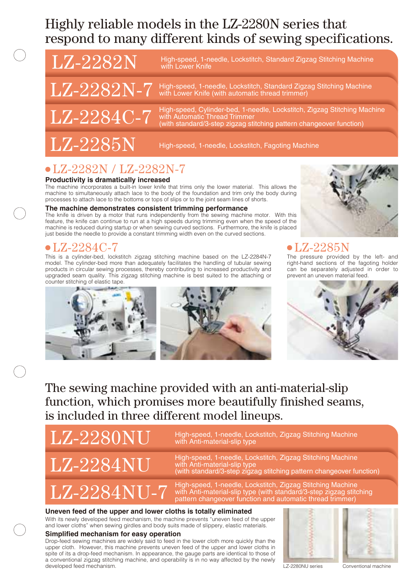## Highly reliable models in the LZ-2280N series that respond to many different kinds of sewing specifications.

 $\text{LZ-2282N}$  High-speed, 1-needle, Lockstitch, Standard Zigzag Stitching Machine with Lower Knife

 $\text{LZ-2282N-7}\;$  High-speed, 1-needle, Lockstitch, Standard Zigzag Stitching Machine with Lower Knife (with automatic thread trimmer)

 $\rm LZ\text{-}2284C\text{-}7$  High-speed, Cylinder-bed, 1-needle, Lockstitch, Zigzag Stitching Machine<br>with standard/3-step zigzag stitching pattern changeover function)

 $\overline{\text{LZ-2285N}}$  High-speed, 1-needle, Lockstitch, Fagoting Machine

## LZ-2282N / LZ-2282N-7

#### **Productivity is dramatically increased**

The machine incorporates a built-in lower knife that trims only the lower material. This allows the machine to simultaneously attach lace to the body of the foundation and trim only the body during processes to attach lace to the bottoms or tops of slips or to the joint seam lines of shorts.

#### **The machine demonstrates consistent trimming performance**

The knife is driven by a motor that runs independently from the sewing machine motor. With this feature, the knife can continue to run at a high speeds during trimming even when the speed of the machine is reduced during startup or when sewing curved sections. Furthermore, the knife is placed just beside the needle to provide a constant trimming width even on the curved sections.

## LZ-2284C-7 LZ-2285N

This is a cylinder-bed, lockstitch zigzag stitching machine based on the LZ-2284N-7 model. The cylinder-bed more than adequately facilitates the handling of tubular sewing products in circular sewing processes, thereby contributing to increased productivity and upgraded seam quality. This zigzag stitching machine is best suited to the attaching or counter stitching of elastic tape.



The pressure provided by the left- and right-hand sections of the fagoting holder can be separately adjusted in order to prevent an uneven material feed.



The sewing machine provided with an anti-material-slip function, which promises more beautifully finished seams, is included in three different model lineups.

 $\text{LZ-2280NU}$  High-speed, 1-needle, Lockstitch, Zigzag Stitching Machine with Anti-material-slip type

High-speed, 1-needle, Lockstitch, Zigzag Stitching Machine<br>with Anti-material-slip type  $\text{LZ-2284NU}$  High-speed, 1-heedle, Lockstitch, Zigzag Stitching Machine<br>(with Anti-material-slip type<br>(with standard/3-step zigzag stitching pattern changeover function)

High-speed, 1-needle, Lockstitch, Zigzag Stitching Machine  $\text{LZ-2284NU-7}$  with Anti-material-slip type (with standard/3-step zigzag stitching pattern changeover function and automatic thread trimmer)

#### **Uneven feed of the upper and lower cloths is totally eliminated**

With its newly developed feed mechanism, the machine prevents "uneven feed of the upper and lower cloths" when sewing girdles and body suits made of slippery, elastic materials.

#### **Simplified mechanism for easy operation**

Drop-feed sewing machines are widely said to feed in the lower cloth more quickly than the upper cloth. However, this machine prevents uneven feed of the upper and lower cloths in spite of its a drop-feed mechanism. In appearance, the gauge parts are identical to those of a conventional zigzag stitching machine, and operability is in no way affected by the newly developed feed mechanism.





LZ-2280NU series Conventional machine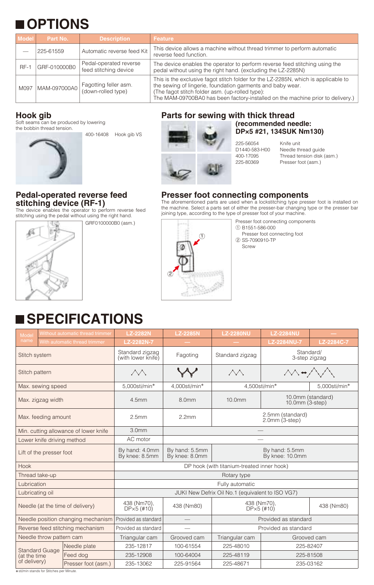## **OPTIONS**

| <b>Model</b> | Part No.     | <b>Description</b>                              | <b>Feature</b>                                                                                                                                                                                                                                                                        |
|--------------|--------------|-------------------------------------------------|---------------------------------------------------------------------------------------------------------------------------------------------------------------------------------------------------------------------------------------------------------------------------------------|
|              | 225-61559    | Automatic reverse feed Kit                      | This device allows a machine without thread trimmer to perform automatic<br>reverse feed function.                                                                                                                                                                                    |
| $RF-1$       | GRF-010000B0 | Pedal-operated reverse<br>feed stitching device | The device enables the operator to perform reverse feed stitching using the<br>pedal without using the right hand. (excluding the LZ-2285N)                                                                                                                                           |
| M097         | MAM-097000A0 | Fagotting feller asm.<br>(down-rolled type)     | This is the exclusive fagot stitch folder for the LZ-2285N, which is applicable to<br>the sewing of lingerie, foundation garments and baby wear.<br>(The fagot stitch folder asm. (up-rolled type):<br>The MAM-09700BA0 has been factory-installed on the machine prior to delivery.) |

## **Hook gib**

Soft seams can be produced by lowering the bobbin thread tension.

400-16408 Hook gib VS



### **Pedal-operated reverse feed stitching device (RF-1)**



GRF0100000B0 (asm.)



### **DP×5 #21, 134SUK Nm130)**

225-56054 Knife unit

D1440-583-H00 Needle thread guide<br>400-17095 Thread tension disk ( 400-17095 Thread tension disk (asm.) Presser foot (asm.)

### **Presser foot connecting components**

The aforementioned parts are used when a lockstitching type presser foot is installed on the machine. Select a parts set of either the presser-bar changing type or the presser bar The device enables the operator to perform reverse feed in the machine. Select a parts set of entier the presser-par changing<br>stitching using the pedal without using the right hand. [10] joining type, according to the type



Presser foot connecting components ① B1551-586-000 Presser foot connecting foot ② SS-7090910-TP

Screw

# **SPECIFICATIONS**

| Model                                                 |  | Without automatic thread trimmer                 | <b>LZ-2282N</b>                            | <b>LZ-2285N</b>                                                       | <b>LZ-2280NU</b>                                        | <b>LZ-2284NU</b>   |            |  |  |
|-------------------------------------------------------|--|--------------------------------------------------|--------------------------------------------|-----------------------------------------------------------------------|---------------------------------------------------------|--------------------|------------|--|--|
| name                                                  |  | With automatic thread trimmer                    | LZ-2282N-7                                 |                                                                       |                                                         | <b>LZ-2284NU-7</b> | LZ-2284C-7 |  |  |
| Stitch system                                         |  | Standard zigzag<br>(with lower knife)            | Fagoting                                   | Standard/<br>Standard zigzag<br>3-step zigzag                         |                                                         |                    |            |  |  |
| Stitch pattern                                        |  |                                                  |                                            |                                                                       | $\wedge \wedge \rightarrow \wedge$<br>$\triangle\wedge$ |                    |            |  |  |
| Max. sewing speed                                     |  |                                                  | 5,000sti/min*                              | 4.000sti/min*                                                         | 4,500sti/min*<br>5.000sti/min*                          |                    |            |  |  |
| Max. zigzag width                                     |  |                                                  | 4.5mm                                      | 8.0 <sub>mm</sub>                                                     | 10.0mm (standard)<br>10.0mm<br>10.0 $mm$ (3-step)       |                    |            |  |  |
| Max. feeding amount                                   |  |                                                  | 2.5mm                                      | 2.2mm                                                                 | 2.5mm (standard)<br>$2.0$ mm $(3\text{-step})$          |                    |            |  |  |
| Min. cutting allowance of lower knife                 |  |                                                  | 3.0 <sub>mm</sub>                          |                                                                       |                                                         |                    |            |  |  |
| Lower knife driving method                            |  |                                                  | AC motor                                   |                                                                       |                                                         |                    |            |  |  |
| Lift of the presser foot                              |  |                                                  | By hand: 4.0mm<br>By knee: 8.5mm           | By hand: 5.5mm<br>By hand: 5.5mm<br>By knee: 8.0mm<br>By knee: 10.0mm |                                                         |                    |            |  |  |
| Hook                                                  |  |                                                  | DP hook (with titanium-treated inner hook) |                                                                       |                                                         |                    |            |  |  |
| Thread take-up                                        |  |                                                  | Rotary type                                |                                                                       |                                                         |                    |            |  |  |
| Lubrication                                           |  |                                                  | Fully automatic                            |                                                                       |                                                         |                    |            |  |  |
| Lubricating oil                                       |  | JUKI New Defrix Oil No.1 (equivalent to ISO VG7) |                                            |                                                                       |                                                         |                    |            |  |  |
| Needle (at the time of delivery)                      |  |                                                  | 438 (Nm70),<br>$DP\times 5$ (#10)          | 438 (Nm80)                                                            | 438 (Nm70),<br>$DP \times 5$ (#10)                      | 438 (Nm80)         |            |  |  |
| Needle position changing mechanism                    |  |                                                  | Provided as standard                       |                                                                       | Provided as standard                                    |                    |            |  |  |
| Reverse feed stitching mechanism                      |  |                                                  | Provided as standard                       |                                                                       | Provided as standard                                    |                    |            |  |  |
| Needle throw pattern cam                              |  |                                                  | Triangular cam                             | Grooved cam                                                           | Triangular cam<br>Grooved cam                           |                    |            |  |  |
| <b>Standard Guage</b><br>(at the time<br>of delivery) |  | Needle plate                                     | 235-12817                                  | 100-61554                                                             | 225-48010                                               |                    | 225-82407  |  |  |
|                                                       |  | Feed dog                                         | 235-12908                                  | 100-64004                                                             | 225-48119                                               |                    | 225-81508  |  |  |
|                                                       |  | Presser foot (asm.)                              | 235-13062                                  | 225-91564                                                             | 225-48671                                               |                    | 235-03162  |  |  |

\*sti/min stands for Stitches per Minute.